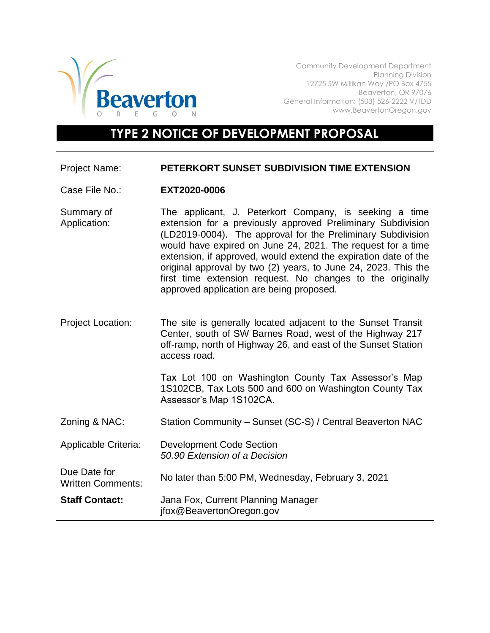

Community Development Department Planning Division 12725 SW Millikan Way /PO Box 4755 Beaverton, OR 97076 General Information: (503) 526-2222 V/TDD www.BeavertonOregon.gov

## **TYPE 2 NOTICE OF DEVELOPMENT PROPOSAL**

| <b>Project Name:</b>                     | PETERKORT SUNSET SUBDIVISION TIME EXTENSION                                                                                                                                                                                                                                                                                                                                                                                                                                                        |
|------------------------------------------|----------------------------------------------------------------------------------------------------------------------------------------------------------------------------------------------------------------------------------------------------------------------------------------------------------------------------------------------------------------------------------------------------------------------------------------------------------------------------------------------------|
| Case File No.:                           | EXT2020-0006                                                                                                                                                                                                                                                                                                                                                                                                                                                                                       |
| Summary of<br>Application:               | The applicant, J. Peterkort Company, is seeking a time<br>extension for a previously approved Preliminary Subdivision<br>(LD2019-0004). The approval for the Preliminary Subdivision<br>would have expired on June 24, 2021. The request for a time<br>extension, if approved, would extend the expiration date of the<br>original approval by two (2) years, to June 24, 2023. This the<br>first time extension request. No changes to the originally<br>approved application are being proposed. |
| <b>Project Location:</b>                 | The site is generally located adjacent to the Sunset Transit<br>Center, south of SW Barnes Road, west of the Highway 217<br>off-ramp, north of Highway 26, and east of the Sunset Station<br>access road.                                                                                                                                                                                                                                                                                          |
|                                          | Tax Lot 100 on Washington County Tax Assessor's Map<br>1S102CB, Tax Lots 500 and 600 on Washington County Tax<br>Assessor's Map 1S102CA.                                                                                                                                                                                                                                                                                                                                                           |
| Zoning & NAC:                            | Station Community - Sunset (SC-S) / Central Beaverton NAC                                                                                                                                                                                                                                                                                                                                                                                                                                          |
| Applicable Criteria:                     | <b>Development Code Section</b><br>50.90 Extension of a Decision                                                                                                                                                                                                                                                                                                                                                                                                                                   |
| Due Date for<br><b>Written Comments:</b> | No later than 5:00 PM, Wednesday, February 3, 2021                                                                                                                                                                                                                                                                                                                                                                                                                                                 |
| <b>Staff Contact:</b>                    | Jana Fox, Current Planning Manager<br>jfox@BeavertonOregon.gov                                                                                                                                                                                                                                                                                                                                                                                                                                     |